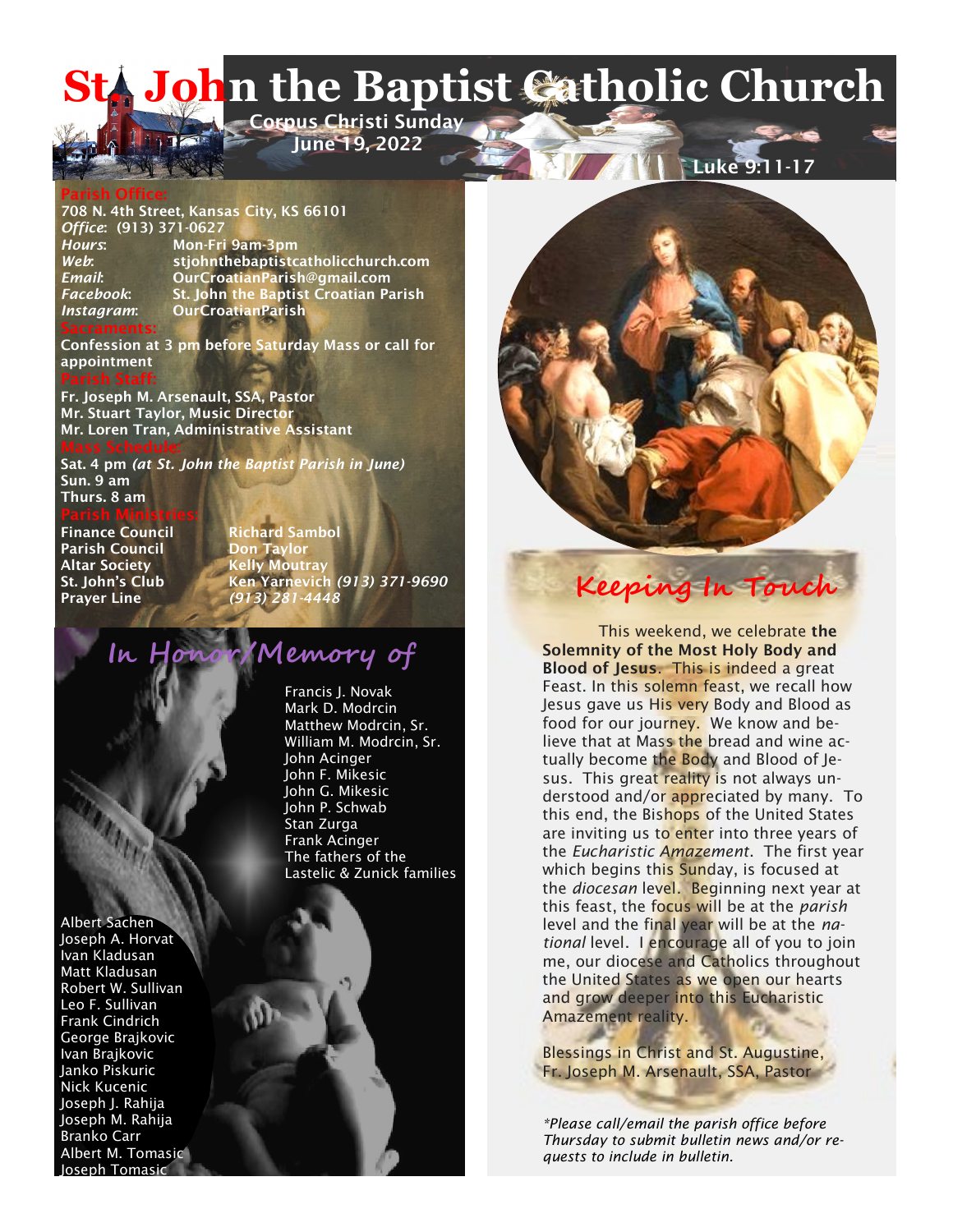# **LA John the Baptist Catholic Church Corpus Christi Sunday**

 **June 19, 2022** 

#### **Parish Office:**

**708 N. 4th Street, Kansas City, KS 66101** *Office***: (913) 371-0627** *Hours***: Mon-Fri 9am-3pm**  *Web***: stjohnthebaptistcatholicchurch.com** *Email***: OurCroatianParish@gmail.com** *Facebook***: St. John the Baptist Croatian Parish** *Instagram***: OurCroatianParish Sacraments:**

**Confession at 3 pm before Saturday Mass or call for appointment**

**Fr. Joseph M. Arsenault, SSA, Pastor Mr. Stuart Taylor, Music Director Mr. Loren Tran, Administrative Assistant**

**Sat. 4 pm** *(at St. John the Baptist Parish in June)* **Sun. 9 am Thurs. 8 am**

**Parish Ministries: Finance Council Richard Sambol**

**Parish Council Altar Society Kelly Moutray**

**St. John's Club Ken Yarnevich** *(913) 371-9690* **Prayer Line** *(913) 281-4448* **Keeping In Touch**

# **In Honor/Memory of**

Francis J. Novak Mark D. Modrcin Matthew Modrcin, Sr. William M. Modrcin, Sr. John Acinger John F. Mikesic John G. Mikesic John P. Schwab Stan Zurga Frank Acinger The fathers of the Lastelic & Zunick families

Albert Sachen Joseph A. Horvat Ivan Kladusan Matt Kladusan Robert W. Sullivan Leo F. Sullivan Frank Cindrich George Brajkovic Ivan Brajkovic Janko Piskuric Nick Kucenic Joseph J. Rahija Joseph M. Rahija Branko Carr Albert M. Tomasic Joseph Tomasic



**Luke 9:11-17** 



Blessings in Christ and St. Augustine, Fr. Joseph M. Arsenault, SSA, Pastor

*\*Please call/email the parish office before Thursday to submit bulletin news and/or requests to include in bulletin.*